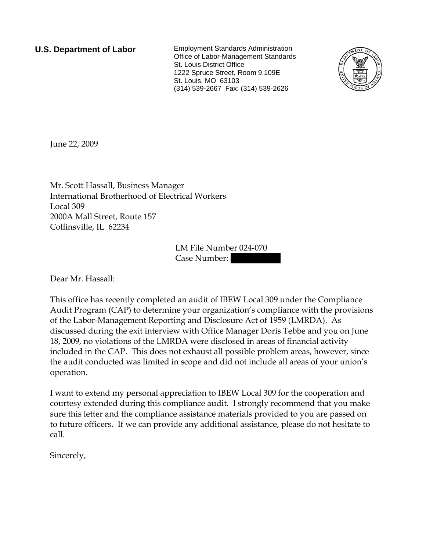**U.S. Department of Labor** Employment Standards Administration Office of Labor-Management Standards St. Louis District Office 1222 Spruce Street, Room 9.109E St. Louis, MO 63103 (314) 539-2667 Fax: (314) 539-2626



June 22, 2009

Mr. Scott Hassall, Business Manager International Brotherhood of Electrical Workers Local 309 2000A Mall Street, Route 157 Collinsville, IL 62234

> LM File Number 024-070 Case Number:

Dear Mr. Hassall:

This office has recently completed an audit of IBEW Local 309 under the Compliance Audit Program (CAP) to determine your organization's compliance with the provisions of the Labor-Management Reporting and Disclosure Act of 1959 (LMRDA). As discussed during the exit interview with Office Manager Doris Tebbe and you on June 18, 2009, no violations of the LMRDA were disclosed in areas of financial activity included in the CAP. This does not exhaust all possible problem areas, however, since the audit conducted was limited in scope and did not include all areas of your union's operation.

I want to extend my personal appreciation to IBEW Local 309 for the cooperation and courtesy extended during this compliance audit. I strongly recommend that you make sure this letter and the compliance assistance materials provided to you are passed on to future officers. If we can provide any additional assistance, please do not hesitate to call.

Sincerely,